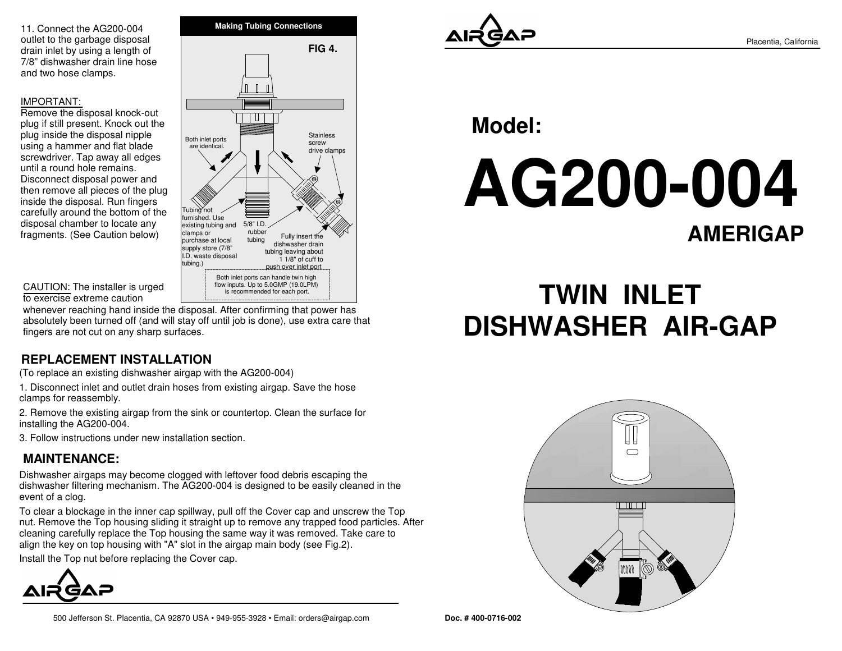11. Connect the AG200-004 outlet to the garbage disposal drain inlet by using a length of 7/8" dishwasher drain line hoseand two hose clamps.

#### IMPORTANT:

 Remove the disposal knock-out plug if still present. Knock out theplug inside the disposal nipple using a hammer and flat blade screwdriver. Tap away all edgesuntil a round hole remains. Disconnect disposal power and then remove all pieces of the pluginside the disposal. Run fingers carefully around the bottom of thedisposal chamber to locate anyfragments. (See Caution below)



#### CAUTION: The installer is urgedto exercise extreme caution

whenever reaching hand inside the disposal. After confirming that power has absolutely been turned off (and will stay off until job is done), use extra care thatfingers are not cut on any sharp surfaces.

### **REPLACEMENT INSTALLATION**

(To replace an existing dishwasher airgap with the AG200-004)

1. Disconnect inlet and outlet drain hoses from existing airgap. Save the hoseclamps for reassembly.

2. Remove the existing airgap from the sink or countertop. Clean the surface forinstalling the AG200-004.

3. Follow instructions under new installation section.

## **MAINTENANCE:**

Dishwasher airgaps may become clogged with leftover food debris escaping the dishwasher filtering mechanism. The AG200-004 is designed to be easily cleaned in theevent of a clog.

To clear a blockage in the inner cap spillway, pull off the Cover cap and unscrew the Top nut. Remove the Top housing sliding it straight up to remove any trapped food particles. Aftercleaning carefully replace the Top housing the same way it was removed. Take care toalign the key on top housing with "A" slot in the airgap main body (see Fig.2).

Install the Top nut before replacing the Cover cap.





**Model:**

**AG200-004AMERIGAP**

# **TWIN INLETDISHWASHER AIR-GAP**